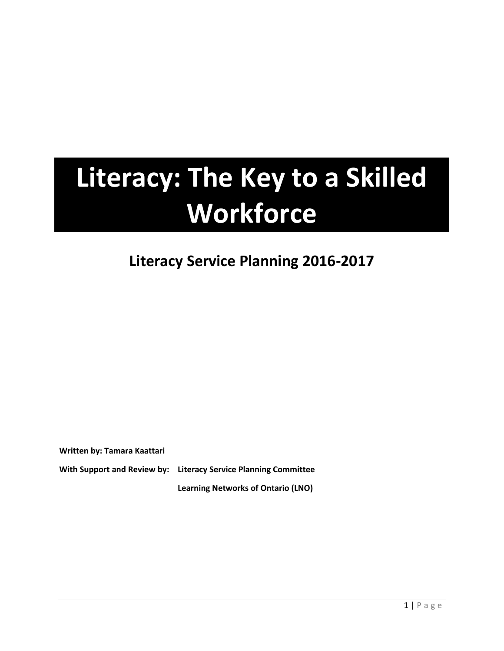# **Literacy: The Key to a Skilled Workforce**

## **Literacy Service Planning 2016-2017**

**Written by: Tamara Kaattari** 

**With Support and Review by: Literacy Service Planning Committee Learning Networks of Ontario (LNO)**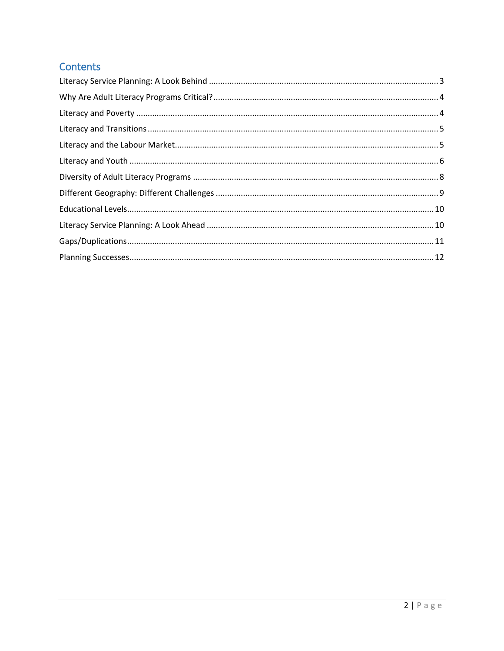## Contents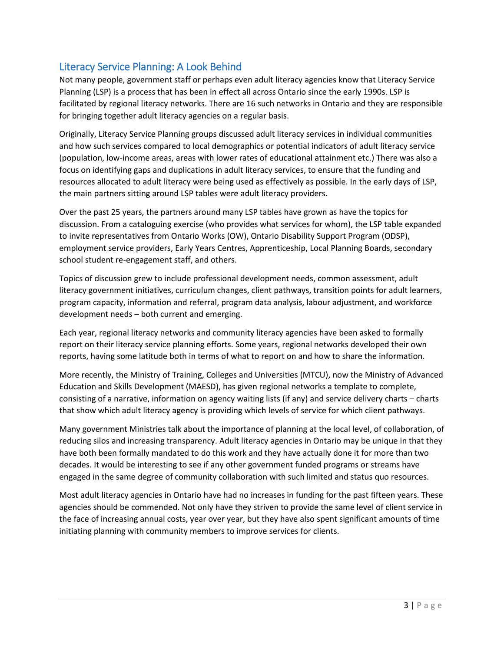## <span id="page-2-0"></span>Literacy Service Planning: A Look Behind

Not many people, government staff or perhaps even adult literacy agencies know that Literacy Service Planning (LSP) is a process that has been in effect all across Ontario since the early 1990s. LSP is facilitated by regional literacy networks. There are 16 such networks in Ontario and they are responsible for bringing together adult literacy agencies on a regular basis.

Originally, Literacy Service Planning groups discussed adult literacy services in individual communities and how such services compared to local demographics or potential indicators of adult literacy service (population, low-income areas, areas with lower rates of educational attainment etc.) There was also a focus on identifying gaps and duplications in adult literacy services, to ensure that the funding and resources allocated to adult literacy were being used as effectively as possible. In the early days of LSP, the main partners sitting around LSP tables were adult literacy providers.

Over the past 25 years, the partners around many LSP tables have grown as have the topics for discussion. From a cataloguing exercise (who provides what services for whom), the LSP table expanded to invite representatives from Ontario Works (OW), Ontario Disability Support Program (ODSP), employment service providers, Early Years Centres, Apprenticeship, Local Planning Boards, secondary school student re-engagement staff, and others.

Topics of discussion grew to include professional development needs, common assessment, adult literacy government initiatives, curriculum changes, client pathways, transition points for adult learners, program capacity, information and referral, program data analysis, labour adjustment, and workforce development needs – both current and emerging.

Each year, regional literacy networks and community literacy agencies have been asked to formally report on their literacy service planning efforts. Some years, regional networks developed their own reports, having some latitude both in terms of what to report on and how to share the information.

More recently, the Ministry of Training, Colleges and Universities (MTCU), now the Ministry of Advanced Education and Skills Development (MAESD), has given regional networks a template to complete, consisting of a narrative, information on agency waiting lists (if any) and service delivery charts – charts that show which adult literacy agency is providing which levels of service for which client pathways.

Many government Ministries talk about the importance of planning at the local level, of collaboration, of reducing silos and increasing transparency. Adult literacy agencies in Ontario may be unique in that they have both been formally mandated to do this work and they have actually done it for more than two decades. It would be interesting to see if any other government funded programs or streams have engaged in the same degree of community collaboration with such limited and status quo resources.

Most adult literacy agencies in Ontario have had no increases in funding for the past fifteen years. These agencies should be commended. Not only have they striven to provide the same level of client service in the face of increasing annual costs, year over year, but they have also spent significant amounts of time initiating planning with community members to improve services for clients.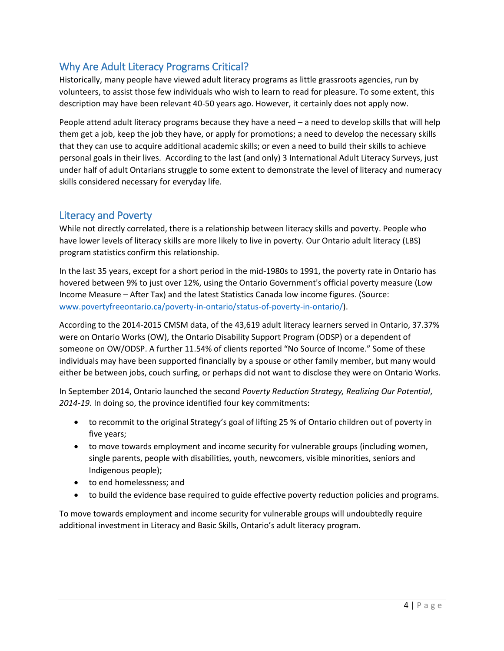## <span id="page-3-0"></span>Why Are Adult Literacy Programs Critical?

Historically, many people have viewed adult literacy programs as little grassroots agencies, run by volunteers, to assist those few individuals who wish to learn to read for pleasure. To some extent, this description may have been relevant 40-50 years ago. However, it certainly does not apply now.

People attend adult literacy programs because they have a need – a need to develop skills that will help them get a job, keep the job they have, or apply for promotions; a need to develop the necessary skills that they can use to acquire additional academic skills; or even a need to build their skills to achieve personal goals in their lives. According to the last (and only) 3 International Adult Literacy Surveys, just under half of adult Ontarians struggle to some extent to demonstrate the level of literacy and numeracy skills considered necessary for everyday life.

#### <span id="page-3-1"></span>Literacy and Poverty

While not directly correlated, there is a relationship between literacy skills and poverty. People who have lower levels of literacy skills are more likely to live in poverty. Our Ontario adult literacy (LBS) program statistics confirm this relationship.

In the last 35 years, except for a short period in the mid-1980s to 1991, the poverty rate in Ontario has hovered between 9% to just over 12%, using the Ontario Government's official poverty measure (Low Income Measure – After Tax) and the latest Statistics Canada low income figures. (Source: [www.povertyfreeontario.ca/poverty-in-ontario/status-of-poverty-in-ontario/\)](http://www.povertyfreeontario.ca/poverty-in-ontario/status-of-poverty-in-ontario/).

According to the 2014-2015 CMSM data, of the 43,619 adult literacy learners served in Ontario, 37.37% were on Ontario Works (OW), the Ontario Disability Support Program (ODSP) or a dependent of someone on OW/ODSP. A further 11.54% of clients reported "No Source of Income." Some of these individuals may have been supported financially by a spouse or other family member, but many would either be between jobs, couch surfing, or perhaps did not want to disclose they were on Ontario Works.

In September 2014, Ontario launched the second *Poverty Reduction Strategy, Realizing Our Potential*, *2014-19*. In doing so, the province identified four key commitments:

- to recommit to the original Strategy's goal of lifting 25 % of Ontario children out of poverty in five years;
- to move towards employment and income security for vulnerable groups (including women, single parents, people with disabilities, youth, newcomers, visible minorities, seniors and Indigenous people);
- to end homelessness; and
- to build the evidence base required to guide effective poverty reduction policies and programs.

To move towards employment and income security for vulnerable groups will undoubtedly require additional investment in Literacy and Basic Skills, Ontario's adult literacy program.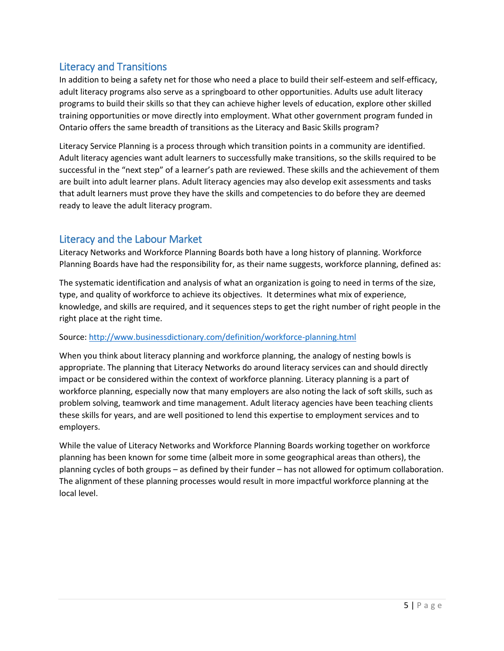## <span id="page-4-0"></span>Literacy and Transitions

In addition to being a safety net for those who need a place to build their self-esteem and self-efficacy, adult literacy programs also serve as a springboard to other opportunities. Adults use adult literacy programs to build their skills so that they can achieve higher levels of education, explore other skilled training opportunities or move directly into employment. What other government program funded in Ontario offers the same breadth of transitions as the Literacy and Basic Skills program?

Literacy Service Planning is a process through which transition points in a community are identified. Adult literacy agencies want adult learners to successfully make transitions, so the skills required to be successful in the "next step" of a learner's path are reviewed. These skills and the achievement of them are built into adult learner plans. Adult literacy agencies may also develop exit assessments and tasks that adult learners must prove they have the skills and competencies to do before they are deemed ready to leave the adult literacy program.

## <span id="page-4-1"></span>Literacy and the Labour Market

Literacy Networks and Workforce Planning Boards both have a long history of planning. Workforce Planning Boards have had the responsibility for, as their name suggests, workforce planning, defined as:

The systematic identification and analysis of what an organization is going to need in terms of the size, type, and quality of workforce to achieve its objectives. It determines what mix of experience, knowledge, and skills are required, and it sequences steps to get the right number of right people in the right place at the right time.

#### Source:<http://www.businessdictionary.com/definition/workforce-planning.html>

When you think about literacy planning and workforce planning, the analogy of nesting bowls is appropriate. The planning that Literacy Networks do around literacy services can and should directly impact or be considered within the context of workforce planning. Literacy planning is a part of workforce planning, especially now that many employers are also noting the lack of soft skills, such as problem solving, teamwork and time management. Adult literacy agencies have been teaching clients these skills for years, and are well positioned to lend this expertise to employment services and to employers.

While the value of Literacy Networks and Workforce Planning Boards working together on workforce planning has been known for some time (albeit more in some geographical areas than others), the planning cycles of both groups – as defined by their funder – has not allowed for optimum collaboration. The alignment of these planning processes would result in more impactful workforce planning at the local level.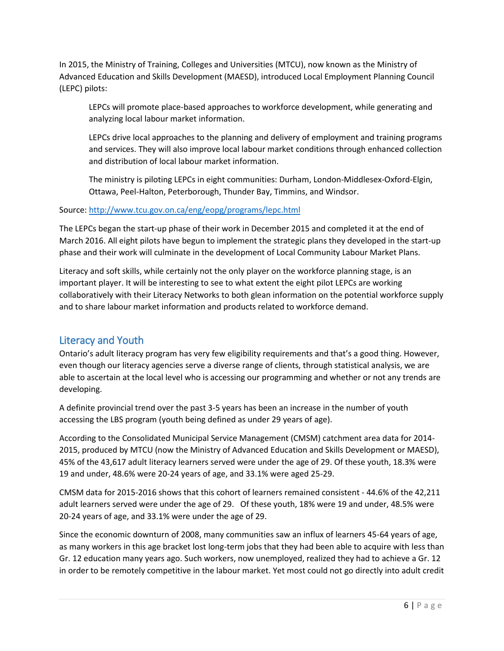In 2015, the Ministry of Training, Colleges and Universities (MTCU), now known as the Ministry of Advanced Education and Skills Development (MAESD), introduced Local Employment Planning Council (LEPC) pilots:

LEPCs will promote place-based approaches to workforce development, while generating and analyzing local labour market information.

LEPCs drive local approaches to the planning and delivery of employment and training programs and services. They will also improve local labour market conditions through enhanced collection and distribution of local labour market information.

The ministry is piloting LEPCs in eight communities: Durham, London-Middlesex-Oxford-Elgin, Ottawa, Peel-Halton, Peterborough, Thunder Bay, Timmins, and Windsor.

#### Source:<http://www.tcu.gov.on.ca/eng/eopg/programs/lepc.html>

The LEPCs began the start-up phase of their work in December 2015 and completed it at the end of March 2016. All eight pilots have begun to implement the strategic plans they developed in the start-up phase and their work will culminate in the development of Local Community Labour Market Plans.

Literacy and soft skills, while certainly not the only player on the workforce planning stage, is an important player. It will be interesting to see to what extent the eight pilot LEPCs are working collaboratively with their Literacy Networks to both glean information on the potential workforce supply and to share labour market information and products related to workforce demand.

### <span id="page-5-0"></span>Literacy and Youth

Ontario's adult literacy program has very few eligibility requirements and that's a good thing. However, even though our literacy agencies serve a diverse range of clients, through statistical analysis, we are able to ascertain at the local level who is accessing our programming and whether or not any trends are developing.

A definite provincial trend over the past 3-5 years has been an increase in the number of youth accessing the LBS program (youth being defined as under 29 years of age).

According to the Consolidated Municipal Service Management (CMSM) catchment area data for 2014- 2015, produced by MTCU (now the Ministry of Advanced Education and Skills Development or MAESD), 45% of the 43,617 adult literacy learners served were under the age of 29. Of these youth, 18.3% were 19 and under, 48.6% were 20-24 years of age, and 33.1% were aged 25-29.

CMSM data for 2015-2016 shows that this cohort of learners remained consistent - 44.6% of the 42,211 adult learners served were under the age of 29. Of these youth, 18% were 19 and under, 48.5% were 20-24 years of age, and 33.1% were under the age of 29.

Since the economic downturn of 2008, many communities saw an influx of learners 45-64 years of age, as many workers in this age bracket lost long-term jobs that they had been able to acquire with less than Gr. 12 education many years ago. Such workers, now unemployed, realized they had to achieve a Gr. 12 in order to be remotely competitive in the labour market. Yet most could not go directly into adult credit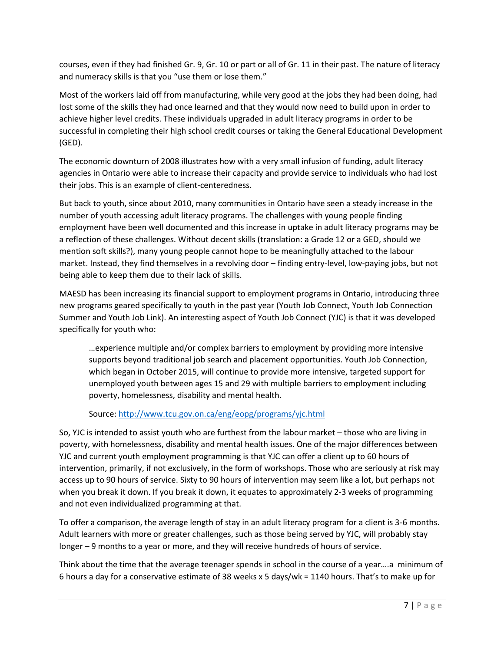courses, even if they had finished Gr. 9, Gr. 10 or part or all of Gr. 11 in their past. The nature of literacy and numeracy skills is that you "use them or lose them."

Most of the workers laid off from manufacturing, while very good at the jobs they had been doing, had lost some of the skills they had once learned and that they would now need to build upon in order to achieve higher level credits. These individuals upgraded in adult literacy programs in order to be successful in completing their high school credit courses or taking the General Educational Development (GED).

The economic downturn of 2008 illustrates how with a very small infusion of funding, adult literacy agencies in Ontario were able to increase their capacity and provide service to individuals who had lost their jobs. This is an example of client-centeredness.

But back to youth, since about 2010, many communities in Ontario have seen a steady increase in the number of youth accessing adult literacy programs. The challenges with young people finding employment have been well documented and this increase in uptake in adult literacy programs may be a reflection of these challenges. Without decent skills (translation: a Grade 12 or a GED, should we mention soft skills?), many young people cannot hope to be meaningfully attached to the labour market. Instead, they find themselves in a revolving door – finding entry-level, low-paying jobs, but not being able to keep them due to their lack of skills.

MAESD has been increasing its financial support to employment programs in Ontario, introducing three new programs geared specifically to youth in the past year (Youth Job Connect, Youth Job Connection Summer and Youth Job Link). An interesting aspect of Youth Job Connect (YJC) is that it was developed specifically for youth who:

…experience multiple and/or complex barriers to employment by providing more intensive supports beyond traditional job search and placement opportunities. Youth Job Connection, which began in October 2015, will continue to provide more intensive, targeted support for unemployed youth between ages 15 and 29 with multiple barriers to employment including poverty, homelessness, disability and mental health.

Source:<http://www.tcu.gov.on.ca/eng/eopg/programs/yjc.html>

So, YJC is intended to assist youth who are furthest from the labour market – those who are living in poverty, with homelessness, disability and mental health issues. One of the major differences between YJC and current youth employment programming is that YJC can offer a client up to 60 hours of intervention, primarily, if not exclusively, in the form of workshops. Those who are seriously at risk may access up to 90 hours of service. Sixty to 90 hours of intervention may seem like a lot, but perhaps not when you break it down. If you break it down, it equates to approximately 2-3 weeks of programming and not even individualized programming at that.

To offer a comparison, the average length of stay in an adult literacy program for a client is 3-6 months. Adult learners with more or greater challenges, such as those being served by YJC, will probably stay longer – 9 months to a year or more, and they will receive hundreds of hours of service.

Think about the time that the average teenager spends in school in the course of a year….a minimum of 6 hours a day for a conservative estimate of 38 weeks x 5 days/wk = 1140 hours. That's to make up for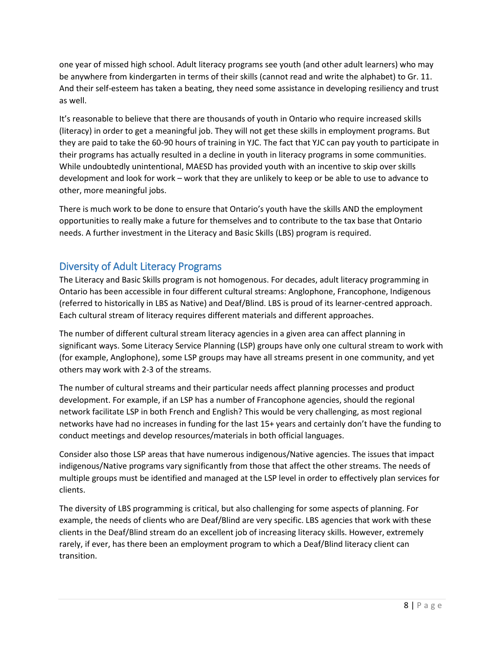one year of missed high school. Adult literacy programs see youth (and other adult learners) who may be anywhere from kindergarten in terms of their skills (cannot read and write the alphabet) to Gr. 11. And their self-esteem has taken a beating, they need some assistance in developing resiliency and trust as well.

It's reasonable to believe that there are thousands of youth in Ontario who require increased skills (literacy) in order to get a meaningful job. They will not get these skills in employment programs. But they are paid to take the 60-90 hours of training in YJC. The fact that YJC can pay youth to participate in their programs has actually resulted in a decline in youth in literacy programs in some communities. While undoubtedly unintentional, MAESD has provided youth with an incentive to skip over skills development and look for work – work that they are unlikely to keep or be able to use to advance to other, more meaningful jobs.

There is much work to be done to ensure that Ontario's youth have the skills AND the employment opportunities to really make a future for themselves and to contribute to the tax base that Ontario needs. A further investment in the Literacy and Basic Skills (LBS) program is required.

## <span id="page-7-0"></span>Diversity of Adult Literacy Programs

The Literacy and Basic Skills program is not homogenous. For decades, adult literacy programming in Ontario has been accessible in four different cultural streams: Anglophone, Francophone, Indigenous (referred to historically in LBS as Native) and Deaf/Blind. LBS is proud of its learner-centred approach. Each cultural stream of literacy requires different materials and different approaches.

The number of different cultural stream literacy agencies in a given area can affect planning in significant ways. Some Literacy Service Planning (LSP) groups have only one cultural stream to work with (for example, Anglophone), some LSP groups may have all streams present in one community, and yet others may work with 2-3 of the streams.

The number of cultural streams and their particular needs affect planning processes and product development. For example, if an LSP has a number of Francophone agencies, should the regional network facilitate LSP in both French and English? This would be very challenging, as most regional networks have had no increases in funding for the last 15+ years and certainly don't have the funding to conduct meetings and develop resources/materials in both official languages.

Consider also those LSP areas that have numerous indigenous/Native agencies. The issues that impact indigenous/Native programs vary significantly from those that affect the other streams. The needs of multiple groups must be identified and managed at the LSP level in order to effectively plan services for clients.

The diversity of LBS programming is critical, but also challenging for some aspects of planning. For example, the needs of clients who are Deaf/Blind are very specific. LBS agencies that work with these clients in the Deaf/Blind stream do an excellent job of increasing literacy skills. However, extremely rarely, if ever, has there been an employment program to which a Deaf/Blind literacy client can transition.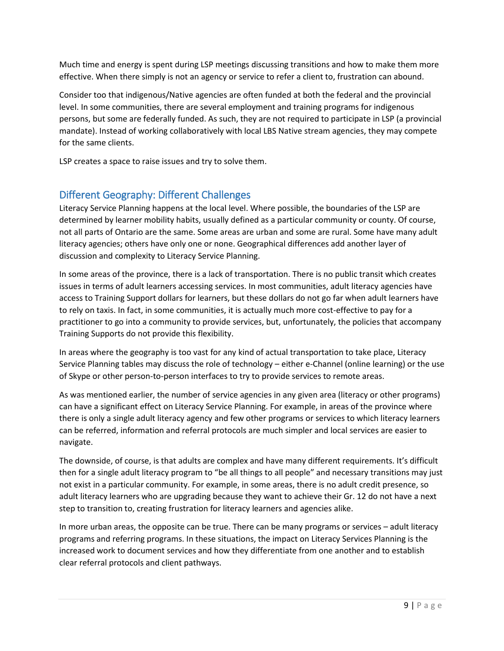Much time and energy is spent during LSP meetings discussing transitions and how to make them more effective. When there simply is not an agency or service to refer a client to, frustration can abound.

Consider too that indigenous/Native agencies are often funded at both the federal and the provincial level. In some communities, there are several employment and training programs for indigenous persons, but some are federally funded. As such, they are not required to participate in LSP (a provincial mandate). Instead of working collaboratively with local LBS Native stream agencies, they may compete for the same clients.

LSP creates a space to raise issues and try to solve them.

## <span id="page-8-0"></span>Different Geography: Different Challenges

Literacy Service Planning happens at the local level. Where possible, the boundaries of the LSP are determined by learner mobility habits, usually defined as a particular community or county. Of course, not all parts of Ontario are the same. Some areas are urban and some are rural. Some have many adult literacy agencies; others have only one or none. Geographical differences add another layer of discussion and complexity to Literacy Service Planning.

In some areas of the province, there is a lack of transportation. There is no public transit which creates issues in terms of adult learners accessing services. In most communities, adult literacy agencies have access to Training Support dollars for learners, but these dollars do not go far when adult learners have to rely on taxis. In fact, in some communities, it is actually much more cost-effective to pay for a practitioner to go into a community to provide services, but, unfortunately, the policies that accompany Training Supports do not provide this flexibility.

In areas where the geography is too vast for any kind of actual transportation to take place, Literacy Service Planning tables may discuss the role of technology – either e-Channel (online learning) or the use of Skype or other person-to-person interfaces to try to provide services to remote areas.

As was mentioned earlier, the number of service agencies in any given area (literacy or other programs) can have a significant effect on Literacy Service Planning. For example, in areas of the province where there is only a single adult literacy agency and few other programs or services to which literacy learners can be referred, information and referral protocols are much simpler and local services are easier to navigate.

The downside, of course, is that adults are complex and have many different requirements. It's difficult then for a single adult literacy program to "be all things to all people" and necessary transitions may just not exist in a particular community. For example, in some areas, there is no adult credit presence, so adult literacy learners who are upgrading because they want to achieve their Gr. 12 do not have a next step to transition to, creating frustration for literacy learners and agencies alike.

In more urban areas, the opposite can be true. There can be many programs or services – adult literacy programs and referring programs. In these situations, the impact on Literacy Services Planning is the increased work to document services and how they differentiate from one another and to establish clear referral protocols and client pathways.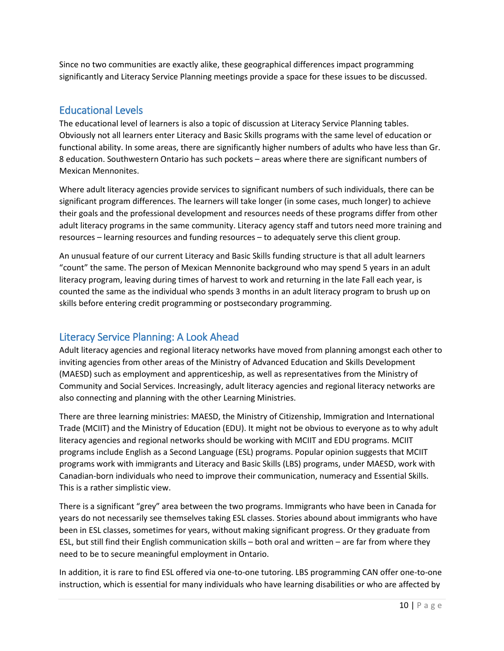Since no two communities are exactly alike, these geographical differences impact programming significantly and Literacy Service Planning meetings provide a space for these issues to be discussed.

## <span id="page-9-0"></span>Educational Levels

The educational level of learners is also a topic of discussion at Literacy Service Planning tables. Obviously not all learners enter Literacy and Basic Skills programs with the same level of education or functional ability. In some areas, there are significantly higher numbers of adults who have less than Gr. 8 education. Southwestern Ontario has such pockets – areas where there are significant numbers of Mexican Mennonites.

Where adult literacy agencies provide services to significant numbers of such individuals, there can be significant program differences. The learners will take longer (in some cases, much longer) to achieve their goals and the professional development and resources needs of these programs differ from other adult literacy programs in the same community. Literacy agency staff and tutors need more training and resources – learning resources and funding resources – to adequately serve this client group.

An unusual feature of our current Literacy and Basic Skills funding structure is that all adult learners ͞count͟ the same. The person of Mexican Mennonite background who may spend 5 years in an adult literacy program, leaving during times of harvest to work and returning in the late Fall each year, is counted the same as the individual who spends 3 months in an adult literacy program to brush up on skills before entering credit programming or postsecondary programming.

## <span id="page-9-1"></span>Literacy Service Planning: A Look Ahead

Adult literacy agencies and regional literacy networks have moved from planning amongst each other to inviting agencies from other areas of the Ministry of Advanced Education and Skills Development (MAESD) such as employment and apprenticeship, as well as representatives from the Ministry of Community and Social Services. Increasingly, adult literacy agencies and regional literacy networks are also connecting and planning with the other Learning Ministries.

There are three learning ministries: MAESD, the Ministry of Citizenship, Immigration and International Trade (MCIIT) and the Ministry of Education (EDU). It might not be obvious to everyone as to why adult literacy agencies and regional networks should be working with MCIIT and EDU programs. MCIIT programs include English as a Second Language (ESL) programs. Popular opinion suggests that MCIIT programs work with immigrants and Literacy and Basic Skills (LBS) programs, under MAESD, work with Canadian-born individuals who need to improve their communication, numeracy and Essential Skills. This is a rather simplistic view.

There is a significant "grey" area between the two programs. Immigrants who have been in Canada for years do not necessarily see themselves taking ESL classes. Stories abound about immigrants who have been in ESL classes, sometimes for years, without making significant progress. Or they graduate from ESL, but still find their English communication skills – both oral and written – are far from where they need to be to secure meaningful employment in Ontario.

In addition, it is rare to find ESL offered via one-to-one tutoring. LBS programming CAN offer one-to-one instruction, which is essential for many individuals who have learning disabilities or who are affected by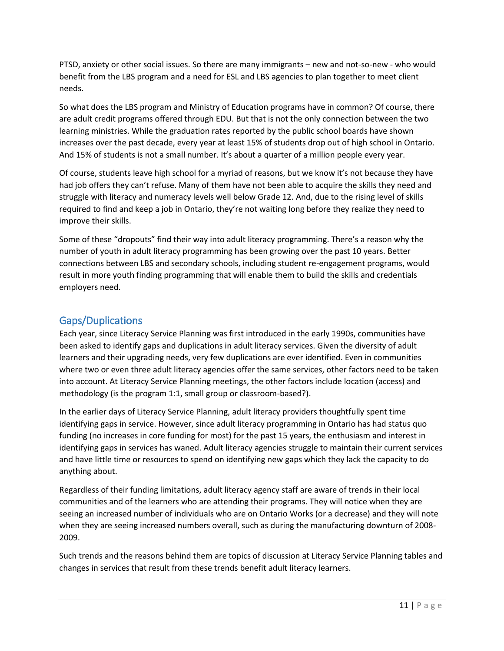PTSD, anxiety or other social issues. So there are many immigrants – new and not-so-new - who would benefit from the LBS program and a need for ESL and LBS agencies to plan together to meet client needs.

So what does the LBS program and Ministry of Education programs have in common? Of course, there are adult credit programs offered through EDU. But that is not the only connection between the two learning ministries. While the graduation rates reported by the public school boards have shown increases over the past decade, every year at least 15% of students drop out of high school in Ontario. And 15% of students is not a small number. It's about a quarter of a million people every year.

Of course, students leave high school for a myriad of reasons, but we know it's not because they have had job offers they can't refuse. Many of them have not been able to acquire the skills they need and struggle with literacy and numeracy levels well below Grade 12. And, due to the rising level of skills required to find and keep a job in Ontario, they're not waiting long before they realize they need to improve their skills.

Some of these "dropouts" find their way into adult literacy programming. There's a reason why the number of youth in adult literacy programming has been growing over the past 10 years. Better connections between LBS and secondary schools, including student re-engagement programs, would result in more youth finding programming that will enable them to build the skills and credentials employers need.

## <span id="page-10-0"></span>**Gaps/Duplications**

Each year, since Literacy Service Planning was first introduced in the early 1990s, communities have been asked to identify gaps and duplications in adult literacy services. Given the diversity of adult learners and their upgrading needs, very few duplications are ever identified. Even in communities where two or even three adult literacy agencies offer the same services, other factors need to be taken into account. At Literacy Service Planning meetings, the other factors include location (access) and methodology (is the program 1:1, small group or classroom-based?).

In the earlier days of Literacy Service Planning, adult literacy providers thoughtfully spent time identifying gaps in service. However, since adult literacy programming in Ontario has had status quo funding (no increases in core funding for most) for the past 15 years, the enthusiasm and interest in identifying gaps in services has waned. Adult literacy agencies struggle to maintain their current services and have little time or resources to spend on identifying new gaps which they lack the capacity to do anything about.

Regardless of their funding limitations, adult literacy agency staff are aware of trends in their local communities and of the learners who are attending their programs. They will notice when they are seeing an increased number of individuals who are on Ontario Works (or a decrease) and they will note when they are seeing increased numbers overall, such as during the manufacturing downturn of 2008-2009.

Such trends and the reasons behind them are topics of discussion at Literacy Service Planning tables and changes in services that result from these trends benefit adult literacy learners.